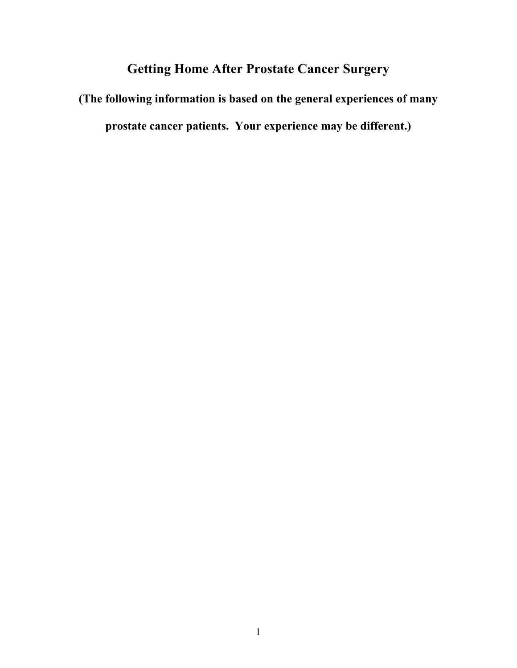# **Getting Home After Prostate Cancer Surgery**

**(The following information is based on the general experiences of many prostate cancer patients. Your experience may be different.)**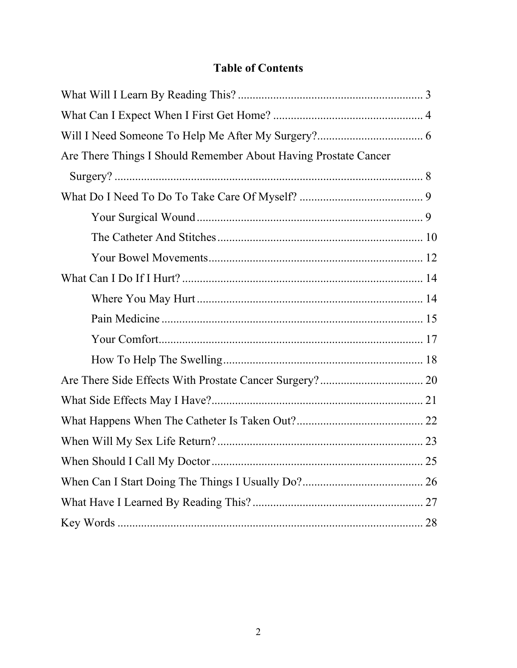# **Table of Contents**

| Are There Things I Should Remember About Having Prostate Cancer |  |
|-----------------------------------------------------------------|--|
|                                                                 |  |
|                                                                 |  |
|                                                                 |  |
|                                                                 |  |
|                                                                 |  |
|                                                                 |  |
|                                                                 |  |
|                                                                 |  |
|                                                                 |  |
|                                                                 |  |
|                                                                 |  |
|                                                                 |  |
|                                                                 |  |
|                                                                 |  |
|                                                                 |  |
|                                                                 |  |
|                                                                 |  |
|                                                                 |  |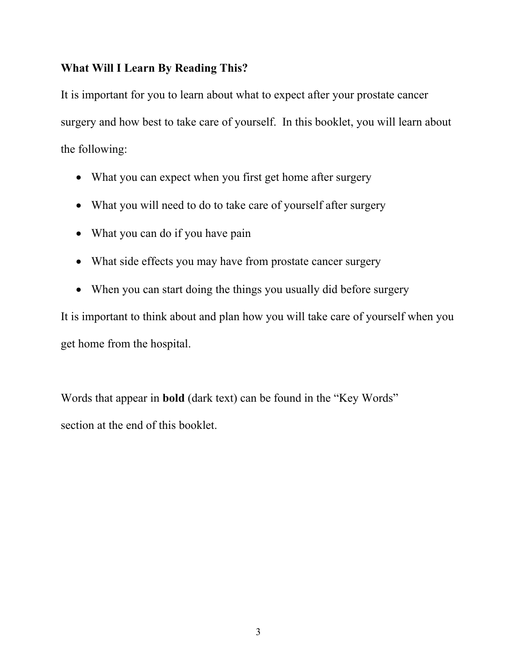# **What Will I Learn By Reading This?**

It is important for you to learn about what to expect after your prostate cancer surgery and how best to take care of yourself. In this booklet, you will learn about the following:

- What you can expect when you first get home after surgery
- What you will need to do to take care of yourself after surgery
- What you can do if you have pain
- What side effects you may have from prostate cancer surgery
- When you can start doing the things you usually did before surgery

It is important to think about and plan how you will take care of yourself when you get home from the hospital.

Words that appear in **bold** (dark text) can be found in the "Key Words" section at the end of this booklet.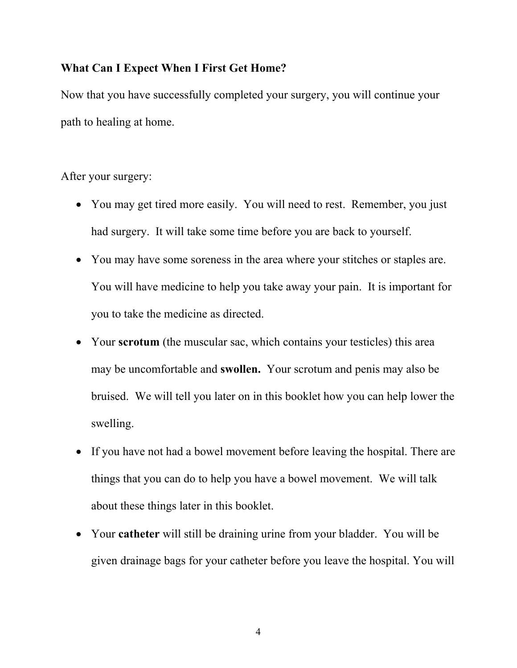# **What Can I Expect When I First Get Home?**

Now that you have successfully completed your surgery, you will continue your path to healing at home.

After your surgery:

- You may get tired more easily. You will need to rest. Remember, you just had surgery. It will take some time before you are back to yourself.
- You may have some soreness in the area where your stitches or staples are. You will have medicine to help you take away your pain. It is important for you to take the medicine as directed.
- Your **scrotum** (the muscular sac, which contains your testicles) this area may be uncomfortable and **swollen.** Your scrotum and penis may also be bruised. We will tell you later on in this booklet how you can help lower the swelling.
- If you have not had a bowel movement before leaving the hospital. There are things that you can do to help you have a bowel movement. We will talk about these things later in this booklet.
- Your **catheter** will still be draining urine from your bladder. You will be given drainage bags for your catheter before you leave the hospital. You will

4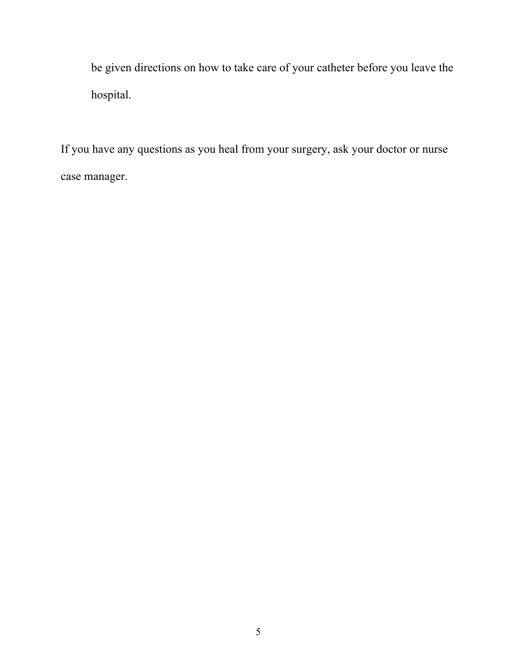be given directions on how to take care of your catheter before you leave the hospital.

If you have any questions as you heal from your surgery, ask your doctor or nurse case manager.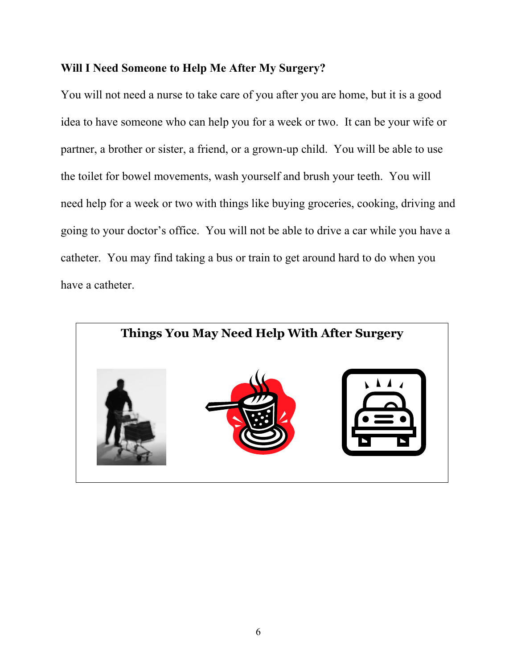## **Will I Need Someone to Help Me After My Surgery?**

You will not need a nurse to take care of you after you are home, but it is a good idea to have someone who can help you for a week or two. It can be your wife or partner, a brother or sister, a friend, or a grown-up child. You will be able to use the toilet for bowel movements, wash yourself and brush your teeth. You will need help for a week or two with things like buying groceries, cooking, driving and going to your doctor's office. You will not be able to drive a car while you have a catheter. You may find taking a bus or train to get around hard to do when you have a catheter.

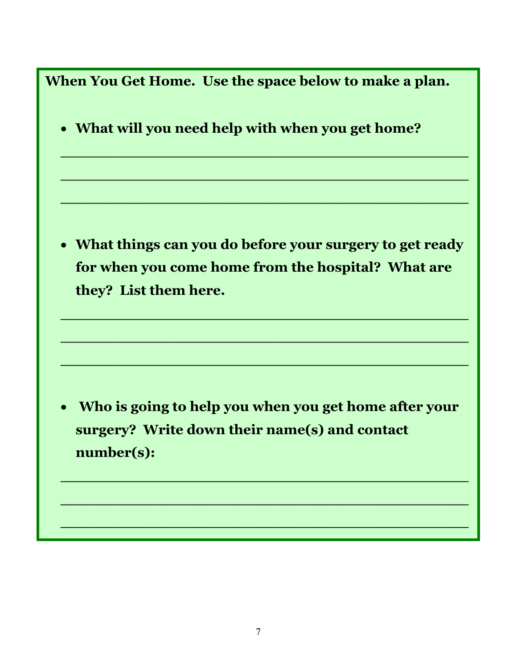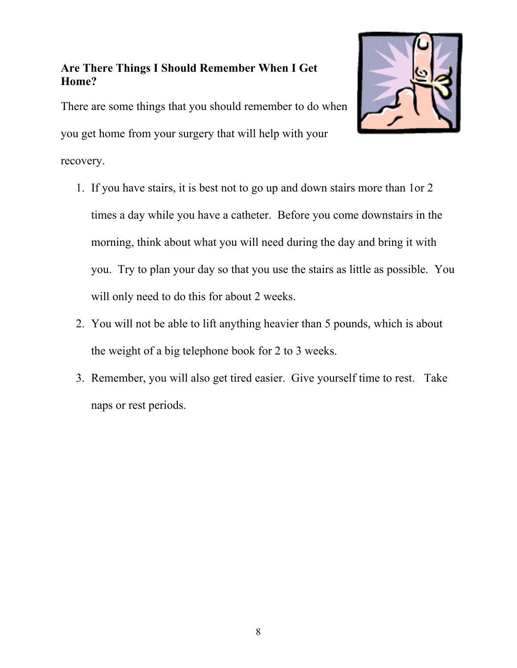# **Are There Things I Should Remember When I Get Home?**

There are some things that you should remember to do when you get home from your surgery that will help with your

recovery.



- 2. You will not be able to lift anything heavier than 5 pounds, which is about the weight of a big telephone book for 2 to 3 weeks.
- 3. Remember, you will also get tired easier. Give yourself time to rest. Take naps or rest periods.

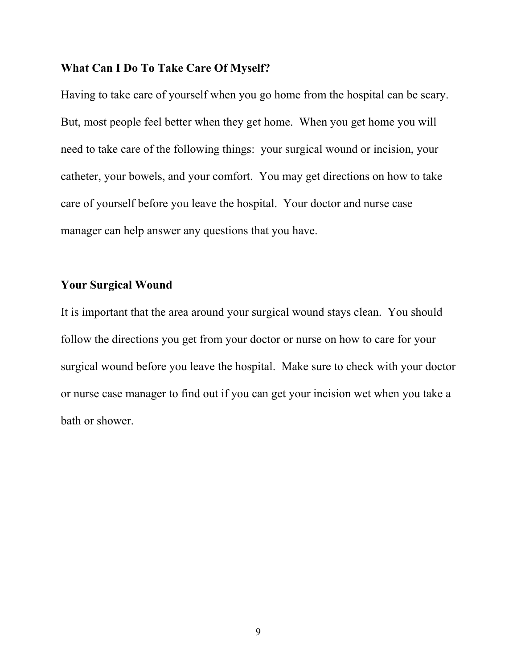## **What Can I Do To Take Care Of Myself?**

Having to take care of yourself when you go home from the hospital can be scary. But, most people feel better when they get home. When you get home you will need to take care of the following things: your surgical wound or incision, your catheter, your bowels, and your comfort. You may get directions on how to take care of yourself before you leave the hospital. Your doctor and nurse case manager can help answer any questions that you have.

## **Your Surgical Wound**

It is important that the area around your surgical wound stays clean. You should follow the directions you get from your doctor or nurse on how to care for your surgical wound before you leave the hospital. Make sure to check with your doctor or nurse case manager to find out if you can get your incision wet when you take a bath or shower.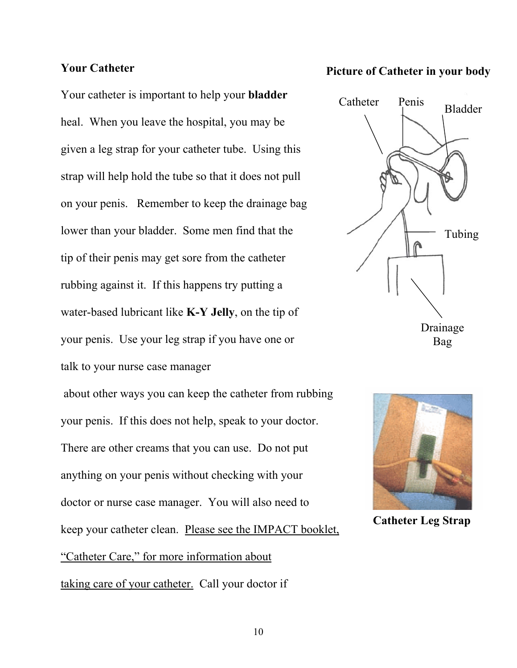#### **Your Catheter**

Your catheter is important to help your **bladder** heal. When you leave the hospital, you may be given a leg strap for your catheter tube. Using this strap will help hold the tube so that it does not pull on your penis. Remember to keep the drainage bag lower than your bladder.Some men find that the tip of their penis may get sore from the catheter rubbing against it. If this happens try putting a water-based lubricant like **K-Y Jelly**, on the tip of your penis. Use your leg strap if you have one or talk to your nurse case manager about other ways you can keep the catheter from rubbing your penis. If this does not help, speak to your doctor. There are other creams that you can use. Do not put anything on your penis without checking with your doctor or nurse case manager. You will also need to keep your catheter clean. Please see the IMPACT booklet,

"Catheter Care," for more information about

taking care of your catheter. Call your doctor if

## **Picture of Catheter in your body**





**Catheter Leg Strap**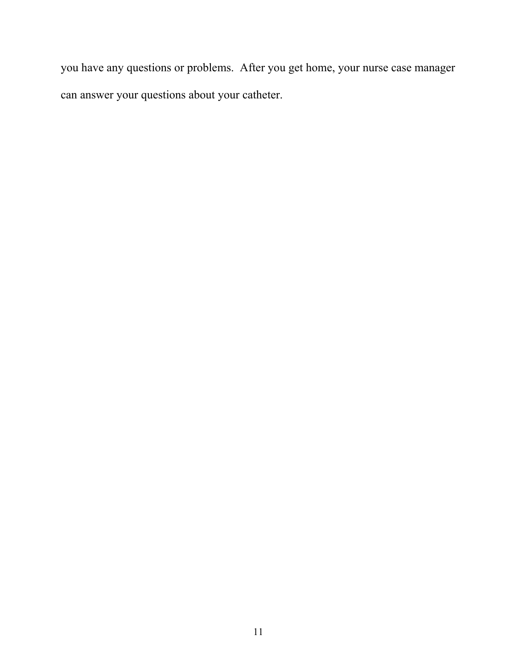you have any questions or problems. After you get home, your nurse case manager can answer your questions about your catheter.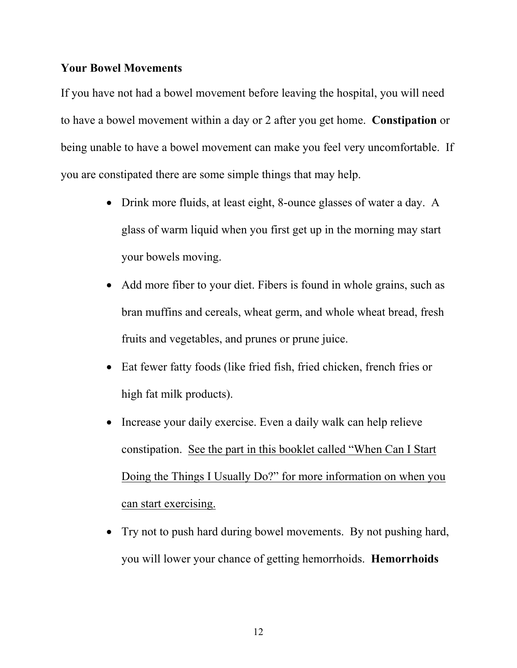#### **Your Bowel Movements**

If you have not had a bowel movement before leaving the hospital, you will need to have a bowel movement within a day or 2 after you get home. **Constipation** or being unable to have a bowel movement can make you feel very uncomfortable. If you are constipated there are some simple things that may help.

- Drink more fluids, at least eight, 8-ounce glasses of water a day. A glass of warm liquid when you first get up in the morning may start your bowels moving.
- Add more fiber to your diet. Fibers is found in whole grains, such as bran muffins and cereals, wheat germ, and whole wheat bread, fresh fruits and vegetables, and prunes or prune juice.
- Eat fewer fatty foods (like fried fish, fried chicken, french fries or high fat milk products).
- Increase your daily exercise. Even a daily walk can help relieve constipation. See the part in this booklet called "When Can I Start Doing the Things I Usually Do?" for more information on when you can start exercising.
- Try not to push hard during bowel movements. By not pushing hard, you will lower your chance of getting hemorrhoids. **Hemorrhoids**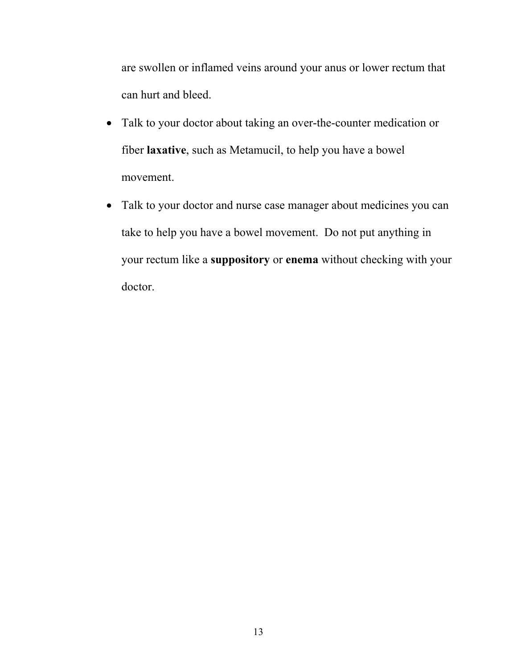are swollen or inflamed veins around your anus or lower rectum that can hurt and bleed.

- Talk to your doctor about taking an over-the-counter medication or fiber **laxative**, such as Metamucil, to help you have a bowel movement.
- Talk to your doctor and nurse case manager about medicines you can take to help you have a bowel movement. Do not put anything in your rectum like a **suppository** or **enema** without checking with your doctor.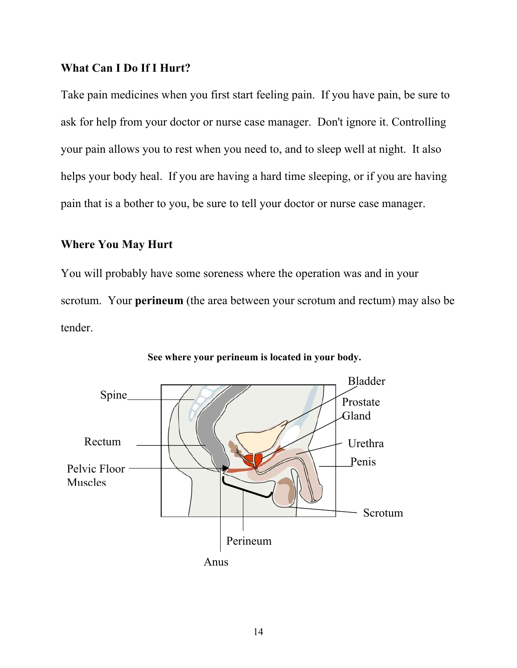# **What Can I Do If I Hurt?**

Take pain medicines when you first start feeling pain. If you have pain, be sure to ask for help from your doctor or nurse case manager. Don't ignore it. Controlling your pain allows you to rest when you need to, and to sleep well at night. It also helps your body heal. If you are having a hard time sleeping, or if you are having pain that is a bother to you, be sure to tell your doctor or nurse case manager.

## **Where You May Hurt**

You will probably have some soreness where the operation was and in your scrotum. Your **perineum** (the area between your scrotum and rectum) may also be tender.



**See where your perineum is located in your body.**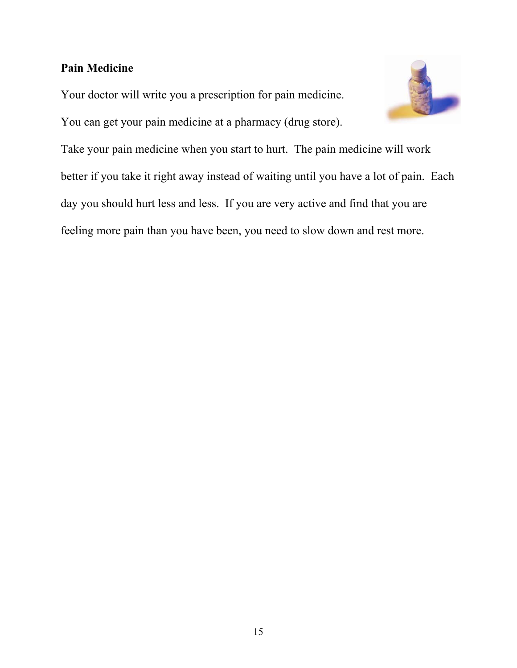# **Pain Medicine**

Your doctor will write you a prescription for pain medicine.

You can get your pain medicine at a pharmacy (drug store).



Take your pain medicine when you start to hurt. The pain medicine will work better if you take it right away instead of waiting until you have a lot of pain. Each day you should hurt less and less. If you are very active and find that you are feeling more pain than you have been, you need to slow down and rest more.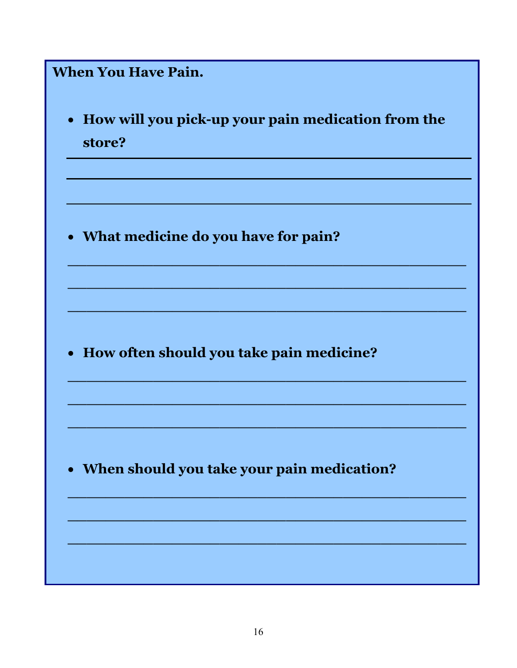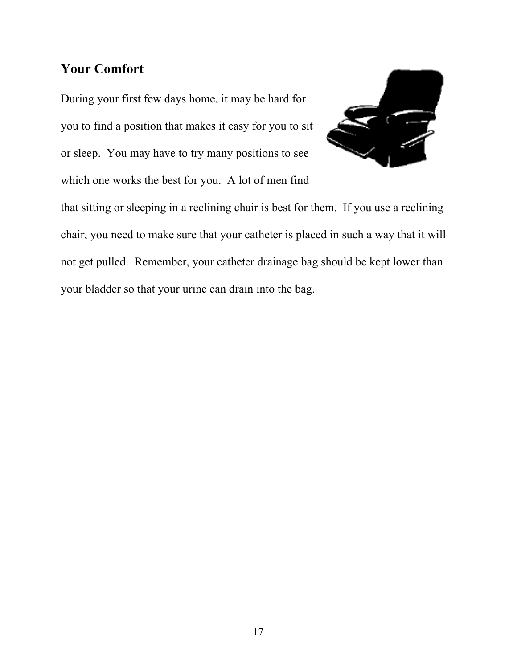# **Your Comfort**

During your first few days home, it may be hard for you to find a position that makes it easy for you to sit or sleep.You may have to try many positions to see which one works the best for you. A lot of men find



that sitting or sleeping in a reclining chair is best for them. If you use a reclining chair, you need to make sure that your catheter is placed in such a way that it will not get pulled. Remember, your catheter drainage bag should be kept lower than your bladder so that your urine can drain into the bag.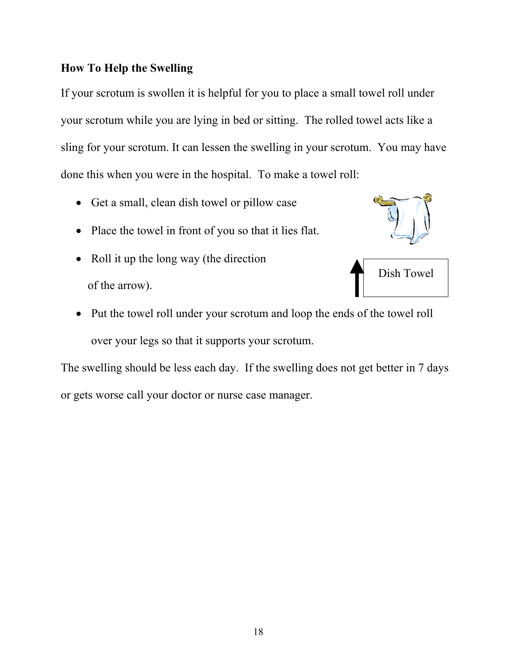# **How To Help the Swelling**

If your scrotum is swollen it is helpful for you to place a small towel roll under your scrotum while you are lying in bed or sitting. The rolled towel acts like a sling for your scrotum. It can lessen the swelling in your scrotum. You may have done this when you were in the hospital. To make a towel roll:

- Get a small, clean dish towel or pillow case
- Place the towel in front of you so that it lies flat.
- Roll it up the long way (the direction of the arrow).





• Put the towel roll under your scrotum and loop the ends of the towel roll over your legs so that it supports your scrotum.

The swelling should be less each day. If the swelling does not get better in 7 days or gets worse call your doctor or nurse case manager.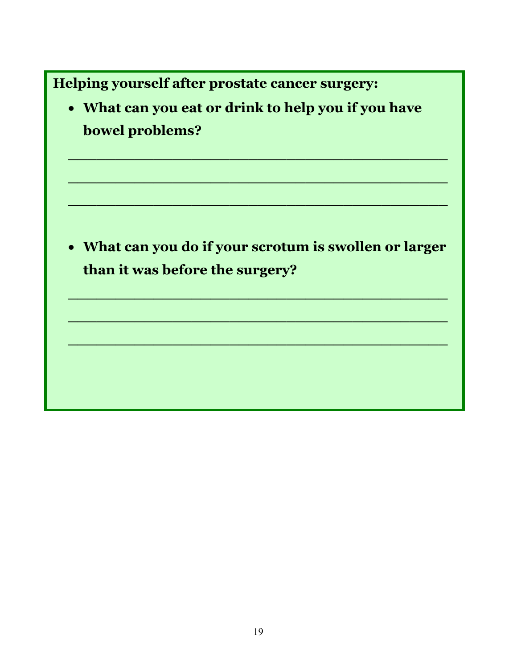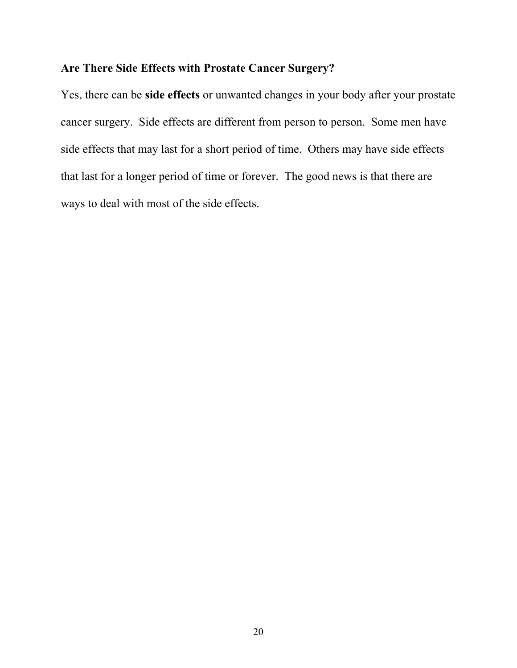# **Are There Side Effects with Prostate Cancer Surgery?**

Yes, there can be **side effects** or unwanted changes in your body after your prostate cancer surgery. Side effects are different from person to person. Some men have side effects that may last for a short period of time. Others may have side effects that last for a longer period of time or forever. The good news is that there are ways to deal with most of the side effects.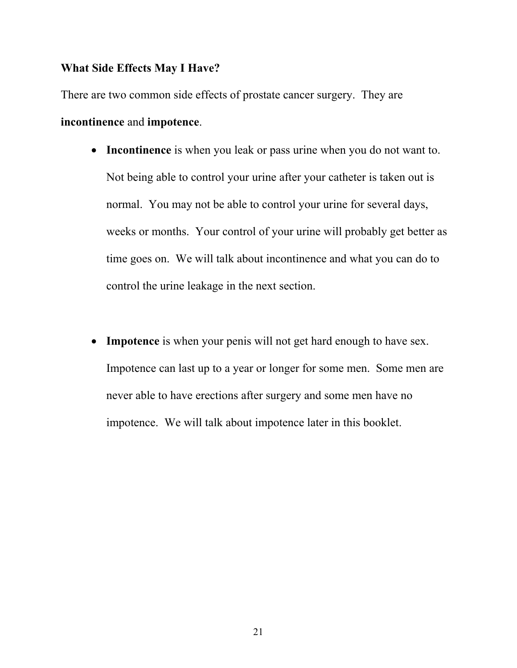### **What Side Effects May I Have?**

There are two common side effects of prostate cancer surgery. They are **incontinence** and **impotence**.

- **Incontinence** is when you leak or pass urine when you do not want to. Not being able to control your urine after your catheter is taken out is normal. You may not be able to control your urine for several days, weeks or months. Your control of your urine will probably get better as time goes on. We will talk about incontinence and what you can do to control the urine leakage in the next section.
- **Impotence** is when your penis will not get hard enough to have sex. Impotence can last up to a year or longer for some men. Some men are never able to have erections after surgery and some men have no impotence. We will talk about impotence later in this booklet.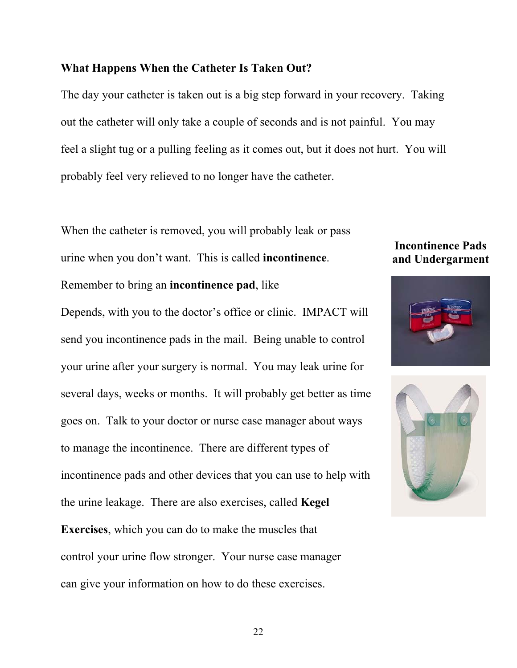## **What Happens When the Catheter Is Taken Out?**

The day your catheter is taken out is a big step forward in your recovery. Taking out the catheter will only take a couple of seconds and is not painful. You may feel a slight tug or a pulling feeling as it comes out, but it does not hurt. You will probably feel very relieved to no longer have the catheter.

When the catheter is removed, you will probably leak or pass urine when you don't want. This is called **incontinence**.

Remember to bring an **incontinence pad**, like

Depends, with you to the doctor's office or clinic. IMPACT will send you incontinence pads in the mail. Being unable to control your urine after your surgery is normal. You may leak urine for several days, weeks or months. It will probably get better as time goes on. Talk to your doctor or nurse case manager about ways to manage the incontinence. There are different types of incontinence pads and other devices that you can use to help with the urine leakage. There are also exercises, called **Kegel Exercises**, which you can do to make the muscles that control your urine flow stronger. Your nurse case manager can give your information on how to do these exercises.

# **Incontinence Pads and Undergarment**



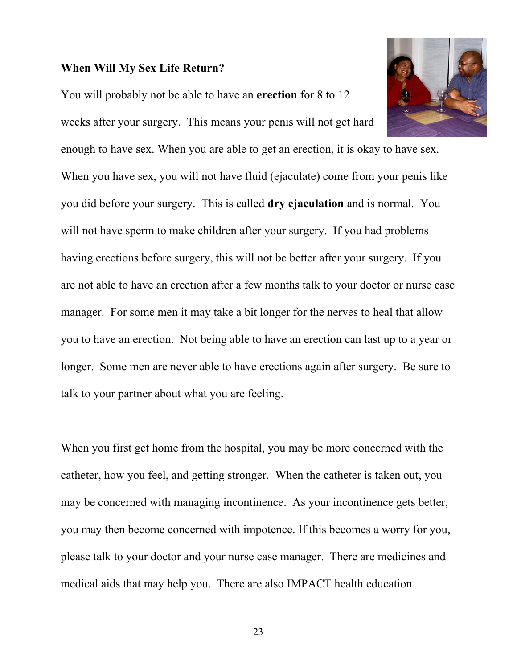## **When Will My Sex Life Return?**

You will probably not be able to have an **erection** for 8 to 12

weeks after your surgery. This means your penis will not get hard

enough to have sex. When you are able to get an erection, it is okay to have sex. When you have sex, you will not have fluid (ejaculate) come from your penis like you did before your surgery. This is called **dry ejaculation** and is normal. You will not have sperm to make children after your surgery. If you had problems having erections before surgery, this will not be better after your surgery. If you are not able to have an erection after a few months talk to your doctor or nurse case manager. For some men it may take a bit longer for the nerves to heal that allow you to have an erection. Not being able to have an erection can last up to a year or longer. Some men are never able to have erections again after surgery. Be sure to talk to your partner about what you are feeling.

When you first get home from the hospital, you may be more concerned with the catheter, how you feel, and getting stronger. When the catheter is taken out, you may be concerned with managing incontinence. As your incontinence gets better, you may then become concerned with impotence. If this becomes a worry for you, please talk to your doctor and your nurse case manager. There are medicines and medical aids that may help you. There are also IMPACT health education

23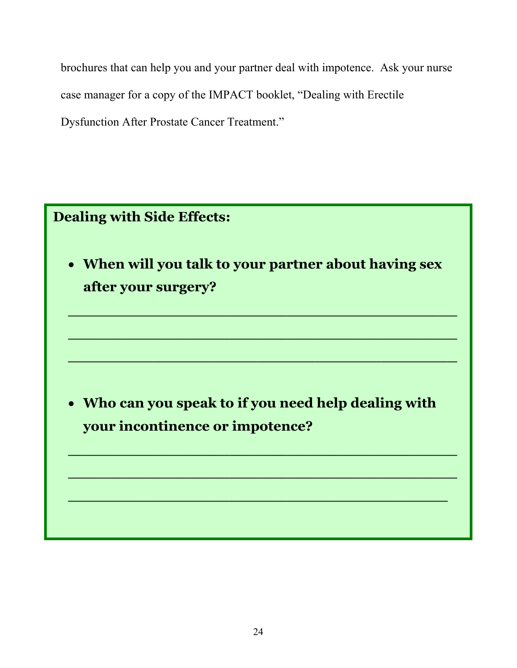brochures that can help you and your partner deal with impotence. Ask your nurse case manager for a copy of the IMPACT booklet, "Dealing with Erectile Dysfunction After Prostate Cancer Treatment."

# **Dealing with Side Effects:**  • **When will you talk to your partner about having sex after your surgery? \_\_\_\_\_\_\_\_\_\_\_\_\_\_\_\_\_\_\_\_\_\_\_\_\_\_\_\_\_\_\_\_\_\_\_\_\_\_\_\_\_ \_\_\_\_\_\_\_\_\_\_\_\_\_\_\_\_\_\_\_\_\_\_\_\_\_\_\_\_\_\_\_\_\_\_\_\_\_\_\_\_\_ \_\_\_\_\_\_\_\_\_\_\_\_\_\_\_\_\_\_\_\_\_\_\_\_\_\_\_\_\_\_\_\_\_\_\_\_\_\_\_\_\_**  • **Who can you speak to if you need help dealing with your incontinence or impotence? \_\_\_\_\_\_\_\_\_\_\_\_\_\_\_\_\_\_\_\_\_\_\_\_\_\_\_\_\_\_\_\_\_\_\_\_\_\_\_\_\_ \_\_\_\_\_\_\_\_\_\_\_\_\_\_\_\_\_\_\_\_\_\_\_\_\_\_\_\_\_\_\_\_\_\_\_\_\_\_\_\_**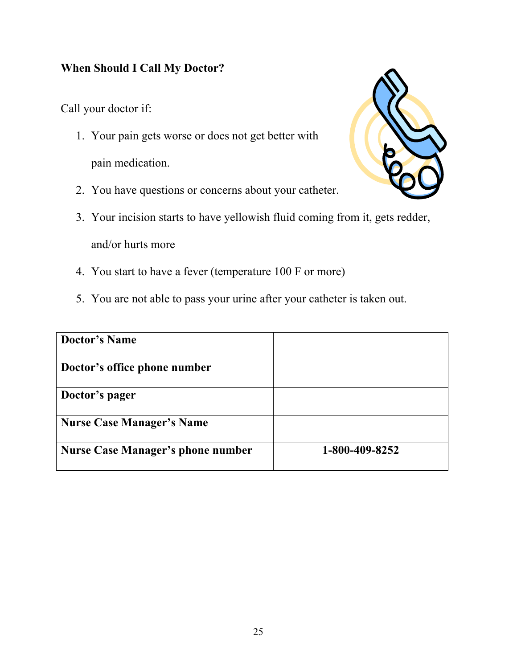# **When Should I Call My Doctor?**

Call your doctor if:

- 1. Your pain gets worse or does not get better with pain medication.
- 2. You have questions or concerns about your catheter.
- 3. Your incision starts to have yellowish fluid coming from it, gets redder, and/or hurts more
- 4. You start to have a fever (temperature 100 F or more)
- 5. You are not able to pass your urine after your catheter is taken out.

| <b>Doctor's Name</b>                     |                |
|------------------------------------------|----------------|
| Doctor's office phone number             |                |
| Doctor's pager                           |                |
| <b>Nurse Case Manager's Name</b>         |                |
| <b>Nurse Case Manager's phone number</b> | 1-800-409-8252 |

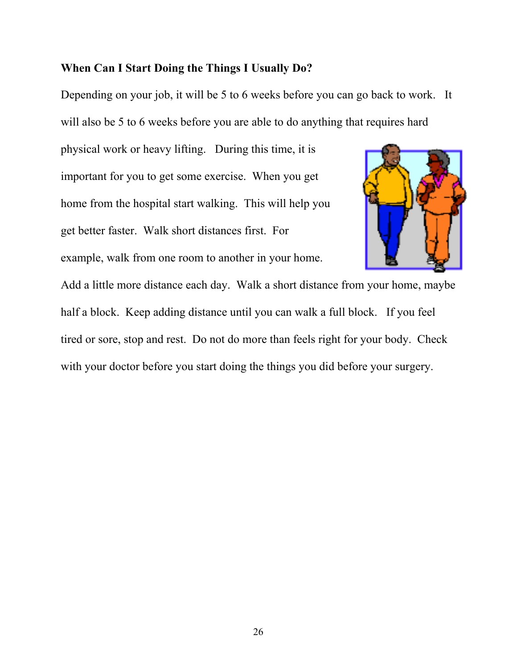## **When Can I Start Doing the Things I Usually Do?**

Depending on your job, it will be 5 to 6 weeks before you can go back to work. It will also be 5 to 6 weeks before you are able to do anything that requires hard

physical work or heavy lifting. During this time, it is important for you to get some exercise. When you get home from the hospital start walking. This will help you get better faster. Walk short distances first. For example, walk from one room to another in your home.



Add a little more distance each day. Walk a short distance from your home, maybe half a block. Keep adding distance until you can walk a full block. If you feel tired or sore, stop and rest. Do not do more than feels right for your body. Check with your doctor before you start doing the things you did before your surgery.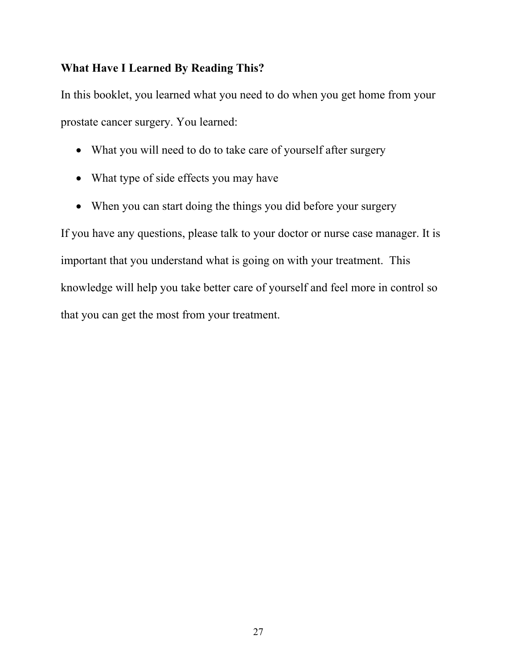# **What Have I Learned By Reading This?**

In this booklet, you learned what you need to do when you get home from your prostate cancer surgery. You learned:

- What you will need to do to take care of yourself after surgery
- What type of side effects you may have
- When you can start doing the things you did before your surgery

If you have any questions, please talk to your doctor or nurse case manager. It is important that you understand what is going on with your treatment. This knowledge will help you take better care of yourself and feel more in control so that you can get the most from your treatment.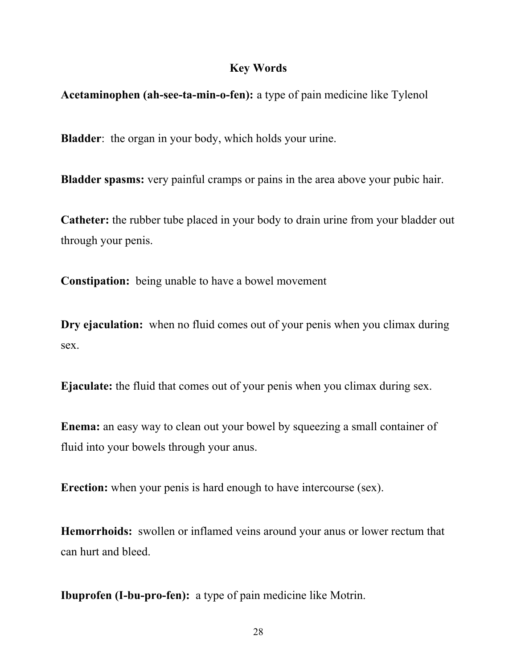## **Key Words**

**Acetaminophen (ah-see-ta-min-o-fen):** a type of pain medicine like Tylenol

**Bladder**: the organ in your body, which holds your urine.

**Bladder spasms:** very painful cramps or pains in the area above your pubic hair.

**Catheter:** the rubber tube placed in your body to drain urine from your bladder out through your penis.

**Constipation:** being unable to have a bowel movement

**Dry ejaculation:** when no fluid comes out of your penis when you climax during sex.

**Ejaculate:** the fluid that comes out of your penis when you climax during sex.

**Enema:** an easy way to clean out your bowel by squeezing a small container of fluid into your bowels through your anus.

**Erection:** when your penis is hard enough to have intercourse (sex).

**Hemorrhoids:** swollen or inflamed veins around your anus or lower rectum that can hurt and bleed.

**Ibuprofen (I-bu-pro-fen):** a type of pain medicine like Motrin.

28